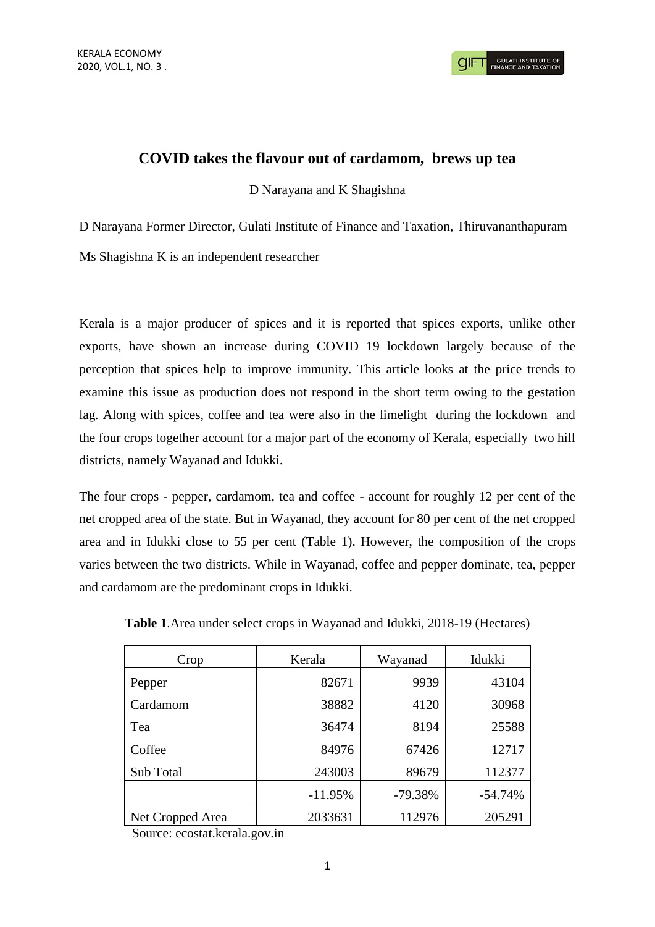## **COVID takes the flavour out of cardamom, brews up tea**

D Narayana and K Shagishna

D Narayana Former Director, Gulati Institute of Finance and Taxation, Thiruvananthapuram

Ms Shagishna K is an independent researcher

Kerala is a major producer of spices and it is reported that spices exports, unlike other exports, have shown an increase during COVID 19 lockdown largely because of the perception that spices help to improve immunity. This article looks at the price trends to examine this issue as production does not respond in the short term owing to the gestation lag. Along with spices, coffee and tea were also in the limelight during the lockdown and the four crops together account for a major part of the economy of Kerala, especially two hill districts, namely Wayanad and Idukki.

The four crops - pepper, cardamom, tea and coffee - account for roughly 12 per cent of the net cropped area of the state. But in Wayanad, they account for 80 per cent of the net cropped area and in Idukki close to 55 per cent (Table 1). However, the composition of the crops varies between the two districts. While in Wayanad, coffee and pepper dominate, tea, pepper and cardamom are the predominant crops in Idukki.

| Crop             | Kerala    | Wayanad   | Idukki    |  |
|------------------|-----------|-----------|-----------|--|
| Pepper           | 82671     | 9939      | 43104     |  |
| Cardamom         | 38882     | 4120      | 30968     |  |
| Tea              | 36474     | 8194      | 25588     |  |
| Coffee           | 84976     | 67426     | 12717     |  |
| Sub Total        | 243003    | 89679     | 112377    |  |
|                  | $-11.95%$ | $-79.38%$ | $-54.74%$ |  |
| Net Cropped Area | 2033631   | 112976    | 205291    |  |

**Table 1**.Area under select crops in Wayanad and Idukki, 2018-19 (Hectares)

Source: ecostat.kerala.gov.in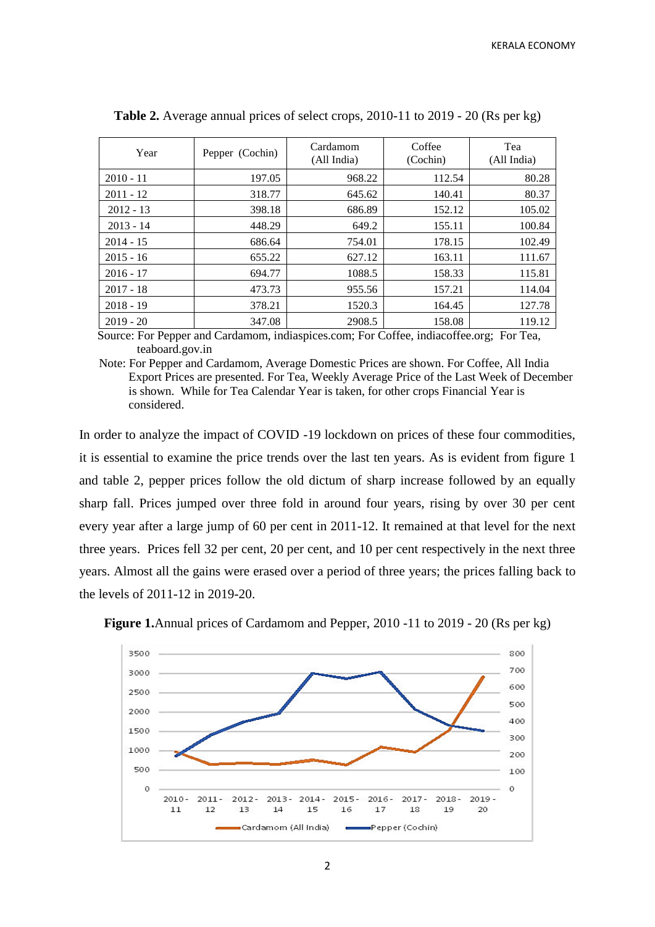| Year        | Pepper (Cochin) | Cardamom<br>(All India) | Coffee<br>(Cochin) | Tea<br>(All India) |  |
|-------------|-----------------|-------------------------|--------------------|--------------------|--|
| $2010 - 11$ | 197.05          | 968.22                  | 112.54             | 80.28              |  |
| $2011 - 12$ | 318.77          | 645.62                  | 140.41             | 80.37              |  |
| $2012 - 13$ | 398.18          | 686.89                  | 152.12             | 105.02             |  |
| $2013 - 14$ | 448.29          | 649.2                   | 155.11             | 100.84             |  |
| $2014 - 15$ | 686.64          | 754.01                  | 178.15             | 102.49             |  |
| $2015 - 16$ | 655.22          | 627.12                  | 163.11             | 111.67             |  |
| $2016 - 17$ | 694.77          | 1088.5                  | 158.33             | 115.81             |  |
| $2017 - 18$ | 473.73          | 955.56                  | 157.21             | 114.04             |  |
| $2018 - 19$ | 378.21          | 1520.3                  | 164.45             | 127.78             |  |
| $2019 - 20$ | 347.08          | 2908.5                  | 158.08             | 119.12             |  |

**Table 2.** Average annual prices of select crops, 2010-11 to 2019 - 20 (Rs per kg)

 Source: For Pepper and Cardamom, indiaspices.com; For Coffee, indiacoffee.org; For Tea, teaboard.gov.in

Note: For Pepper and Cardamom, Average Domestic Prices are shown. For Coffee, All India Export Prices are presented. For Tea, Weekly Average Price of the Last Week of December is shown. While for Tea Calendar Year is taken, for other crops Financial Year is considered.

In order to analyze the impact of COVID -19 lockdown on prices of these four commodities, it is essential to examine the price trends over the last ten years. As is evident from figure 1 and table 2, pepper prices follow the old dictum of sharp increase followed by an equally sharp fall. Prices jumped over three fold in around four years, rising by over 30 per cent every year after a large jump of 60 per cent in 2011-12. It remained at that level for the next three years. Prices fell 32 per cent, 20 per cent, and 10 per cent respectively in the next three years. Almost all the gains were erased over a period of three years; the prices falling back to the levels of 2011-12 in 2019-20.



**Figure 1.**Annual prices of Cardamom and Pepper, 2010 -11 to 2019 - 20 (Rs per kg)

2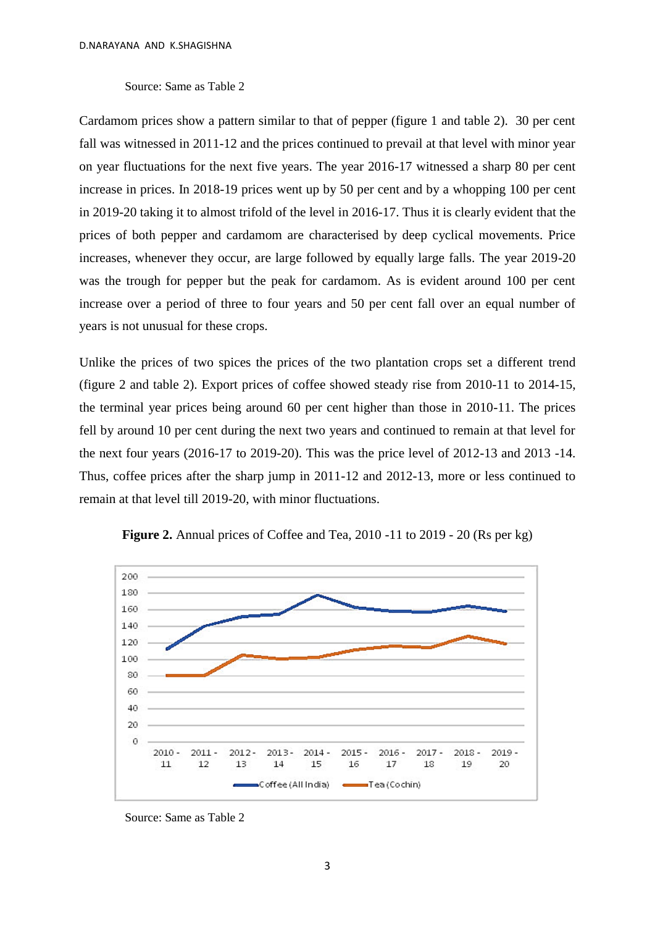## Source: Same as Table 2

Cardamom prices show a pattern similar to that of pepper (figure 1 and table 2). 30 per cent fall was witnessed in 2011-12 and the prices continued to prevail at that level with minor year on year fluctuations for the next five years. The year 2016-17 witnessed a sharp 80 per cent increase in prices. In 2018-19 prices went up by 50 per cent and by a whopping 100 per cent in 2019-20 taking it to almost trifold of the level in 2016-17. Thus it is clearly evident that the prices of both pepper and cardamom are characterised by deep cyclical movements. Price increases, whenever they occur, are large followed by equally large falls. The year 2019-20 was the trough for pepper but the peak for cardamom. As is evident around 100 per cent increase over a period of three to four years and 50 per cent fall over an equal number of years is not unusual for these crops.

Unlike the prices of two spices the prices of the two plantation crops set a different trend (figure 2 and table 2). Export prices of coffee showed steady rise from 2010-11 to 2014-15, the terminal year prices being around 60 per cent higher than those in 2010-11. The prices fell by around 10 per cent during the next two years and continued to remain at that level for the next four years (2016-17 to 2019-20). This was the price level of 2012-13 and 2013 -14. Thus, coffee prices after the sharp jump in 2011-12 and 2012-13, more or less continued to remain at that level till 2019-20, with minor fluctuations.





Source: Same as Table 2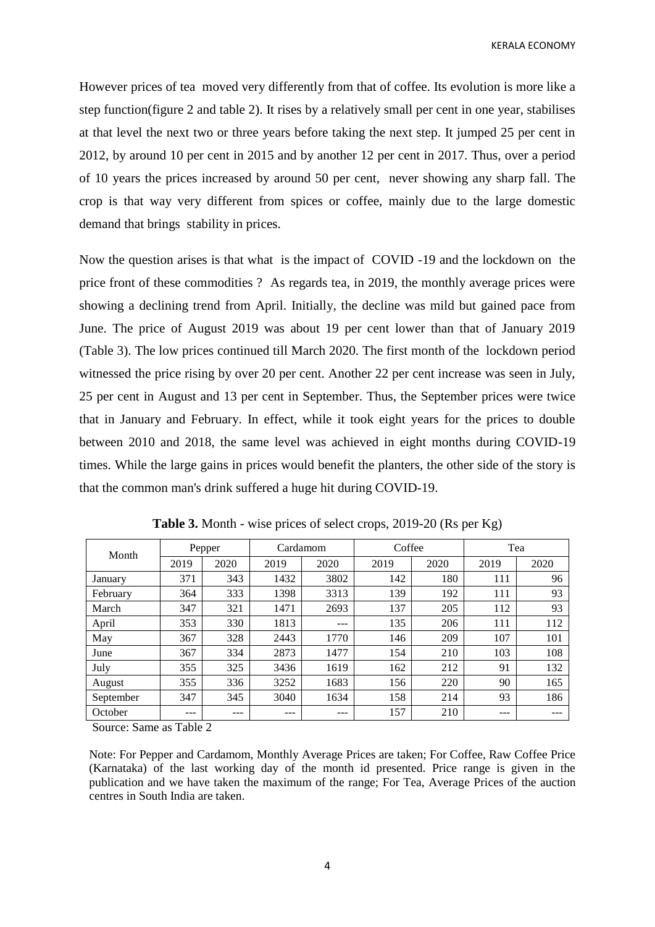KERALA ECONOMY

However prices of tea moved very differently from that of coffee. Its evolution is more like a step function(figure 2 and table 2). It rises by a relatively small per cent in one year, stabilises at that level the next two or three years before taking the next step. It jumped 25 per cent in 2012, by around 10 per cent in 2015 and by another 12 per cent in 2017. Thus, over a period of 10 years the prices increased by around 50 per cent, never showing any sharp fall. The crop is that way very different from spices or coffee, mainly due to the large domestic demand that brings stability in prices.

Now the question arises is that what is the impact of COVID -19 and the lockdown on the price front of these commodities ? As regards tea, in 2019, the monthly average prices were showing a declining trend from April. Initially, the decline was mild but gained pace from June. The price of August 2019 was about 19 per cent lower than that of January 2019 (Table 3). The low prices continued till March 2020. The first month of the lockdown period witnessed the price rising by over 20 per cent. Another 22 per cent increase was seen in July, 25 per cent in August and 13 per cent in September. Thus, the September prices were twice that in January and February. In effect, while it took eight years for the prices to double between 2010 and 2018, the same level was achieved in eight months during COVID-19 times. While the large gains in prices would benefit the planters, the other side of the story is that the common man's drink suffered a huge hit during COVID-19.

| Month     | Pepper |      | Cardamom |      | Coffee |      | Tea  |      |
|-----------|--------|------|----------|------|--------|------|------|------|
|           | 2019   | 2020 | 2019     | 2020 | 2019   | 2020 | 2019 | 2020 |
| January   | 371    | 343  | 1432     | 3802 | 142    | 180  | 111  | 96   |
| February  | 364    | 333  | 1398     | 3313 | 139    | 192  | 111  | 93   |
| March     | 347    | 321  | 1471     | 2693 | 137    | 205  | 112  | 93   |
| April     | 353    | 330  | 1813     | ---  | 135    | 206  | 111  | 112  |
| May       | 367    | 328  | 2443     | 1770 | 146    | 209  | 107  | 101  |
| June      | 367    | 334  | 2873     | 1477 | 154    | 210  | 103  | 108  |
| July      | 355    | 325  | 3436     | 1619 | 162    | 212  | 91   | 132  |
| August    | 355    | 336  | 3252     | 1683 | 156    | 220  | 90   | 165  |
| September | 347    | 345  | 3040     | 1634 | 158    | 214  | 93   | 186  |
| October   | ---    | ---  | ---      | ---  | 157    | 210  | ---  |      |

**Table 3.** Month - wise prices of select crops, 2019-20 (Rs per Kg)

Source: Same as Table 2

Note: For Pepper and Cardamom, Monthly Average Prices are taken; For Coffee, Raw Coffee Price (Karnataka) of the last working day of the month id presented. Price range is given in the publication and we have taken the maximum of the range; For Tea, Average Prices of the auction centres in South India are taken.

4